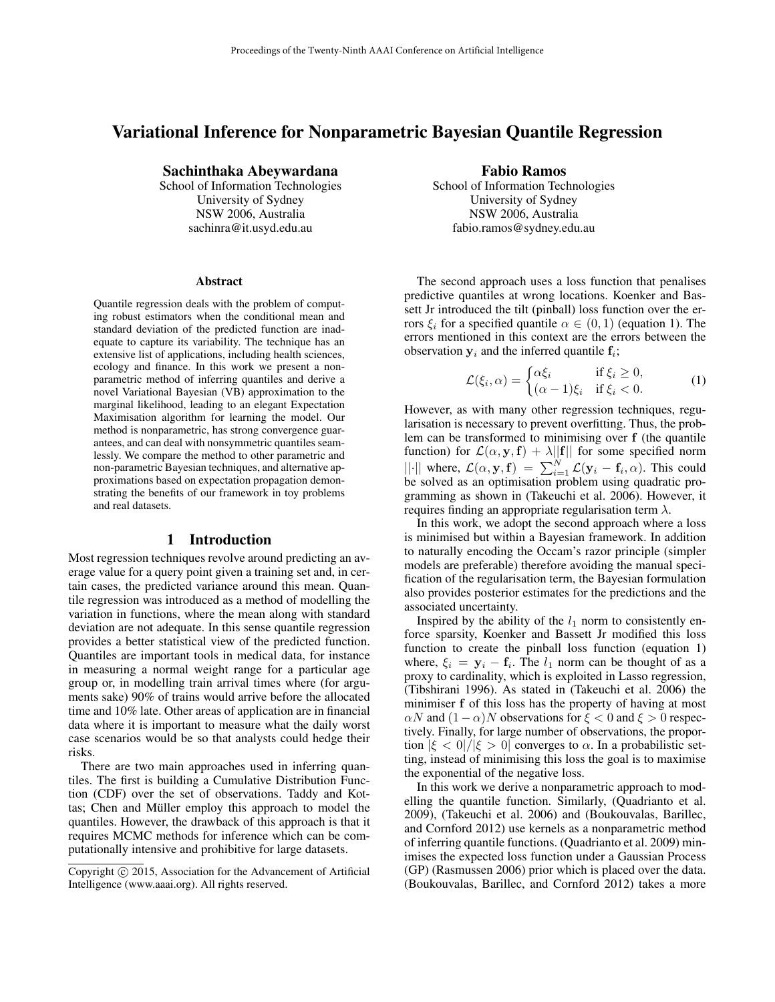# Variational Inference for Nonparametric Bayesian Quantile Regression

#### Sachinthaka Abeywardana

School of Information Technologies University of Sydney NSW 2006, Australia sachinra@it.usyd.edu.au

#### Abstract

Quantile regression deals with the problem of computing robust estimators when the conditional mean and standard deviation of the predicted function are inadequate to capture its variability. The technique has an extensive list of applications, including health sciences, ecology and finance. In this work we present a nonparametric method of inferring quantiles and derive a novel Variational Bayesian (VB) approximation to the marginal likelihood, leading to an elegant Expectation Maximisation algorithm for learning the model. Our method is nonparametric, has strong convergence guarantees, and can deal with nonsymmetric quantiles seamlessly. We compare the method to other parametric and non-parametric Bayesian techniques, and alternative approximations based on expectation propagation demonstrating the benefits of our framework in toy problems and real datasets.

### 1 Introduction

Most regression techniques revolve around predicting an average value for a query point given a training set and, in certain cases, the predicted variance around this mean. Quantile regression was introduced as a method of modelling the variation in functions, where the mean along with standard deviation are not adequate. In this sense quantile regression provides a better statistical view of the predicted function. Quantiles are important tools in medical data, for instance in measuring a normal weight range for a particular age group or, in modelling train arrival times where (for arguments sake) 90% of trains would arrive before the allocated time and 10% late. Other areas of application are in financial data where it is important to measure what the daily worst case scenarios would be so that analysts could hedge their risks.

There are two main approaches used in inferring quantiles. The first is building a Cumulative Distribution Function (CDF) over the set of observations. Taddy and Kottas; Chen and Müller employ this approach to model the quantiles. However, the drawback of this approach is that it requires MCMC methods for inference which can be computationally intensive and prohibitive for large datasets.

#### Fabio Ramos

School of Information Technologies University of Sydney NSW 2006, Australia fabio.ramos@sydney.edu.au

The second approach uses a loss function that penalises predictive quantiles at wrong locations. Koenker and Bassett Jr introduced the tilt (pinball) loss function over the errors  $\xi_i$  for a specified quantile  $\alpha \in (0,1)$  (equation 1). The errors mentioned in this context are the errors between the observation  $y_i$  and the inferred quantile  $f_i$ ;

$$
\mathcal{L}(\xi_i, \alpha) = \begin{cases} \alpha \xi_i & \text{if } \xi_i \ge 0, \\ (\alpha - 1)\xi_i & \text{if } \xi_i < 0. \end{cases}
$$
 (1)

However, as with many other regression techniques, regularisation is necessary to prevent overfitting. Thus, the problem can be transformed to minimising over f (the quantile function) for  $\mathcal{L}(\alpha, \mathbf{y}, \mathbf{f}) + \lambda ||\mathbf{f}||$  for some specified norm ||·|| where,  $\mathcal{L}(\alpha, \mathbf{y}, \mathbf{f}) = \sum_{i=1}^{N} \mathcal{L}(\mathbf{y}_i - \mathbf{f}_i, \alpha)$ . This could be solved as an optimisation problem using quadratic programming as shown in (Takeuchi et al. 2006). However, it requires finding an appropriate regularisation term  $\lambda$ .

In this work, we adopt the second approach where a loss is minimised but within a Bayesian framework. In addition to naturally encoding the Occam's razor principle (simpler models are preferable) therefore avoiding the manual specification of the regularisation term, the Bayesian formulation also provides posterior estimates for the predictions and the associated uncertainty.

Inspired by the ability of the  $l_1$  norm to consistently enforce sparsity, Koenker and Bassett Jr modified this loss function to create the pinball loss function (equation 1) where,  $\xi_i = y_i - f_i$ . The  $l_1$  norm can be thought of as a proxy to cardinality, which is exploited in Lasso regression, (Tibshirani 1996). As stated in (Takeuchi et al. 2006) the minimiser f of this loss has the property of having at most  $\alpha N$  and  $(1 - \alpha)N$  observations for  $\xi < 0$  and  $\xi > 0$  respectively. Finally, for large number of observations, the proportion  $|\xi < 0|/|\xi > 0|$  converges to  $\alpha$ . In a probabilistic setting, instead of minimising this loss the goal is to maximise the exponential of the negative loss.

In this work we derive a nonparametric approach to modelling the quantile function. Similarly, (Quadrianto et al. 2009), (Takeuchi et al. 2006) and (Boukouvalas, Barillec, and Cornford 2012) use kernels as a nonparametric method of inferring quantile functions. (Quadrianto et al. 2009) minimises the expected loss function under a Gaussian Process (GP) (Rasmussen 2006) prior which is placed over the data. (Boukouvalas, Barillec, and Cornford 2012) takes a more

Copyright © 2015, Association for the Advancement of Artificial Intelligence (www.aaai.org). All rights reserved.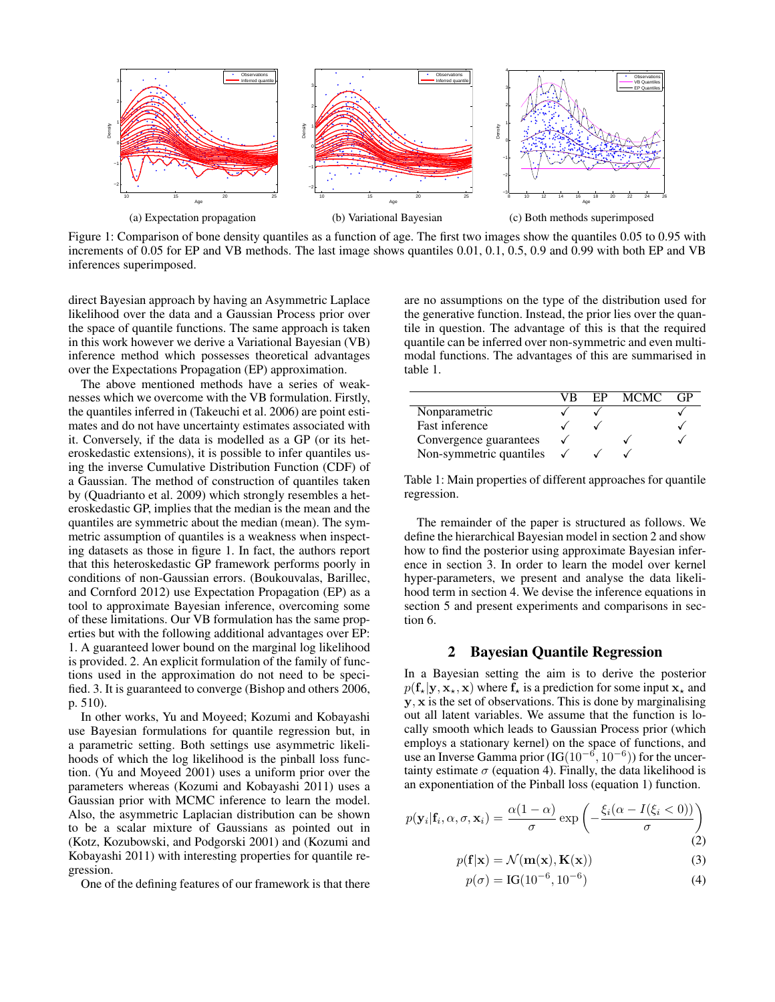

Figure 1: Comparison of bone density quantiles as a function of age. The first two images show the quantiles 0.05 to 0.95 with increments of 0.05 for EP and VB methods. The last image shows quantiles 0.01, 0.1, 0.5, 0.9 and 0.99 with both EP and VB inferences superimposed.

direct Bayesian approach by having an Asymmetric Laplace likelihood over the data and a Gaussian Process prior over the space of quantile functions. The same approach is taken in this work however we derive a Variational Bayesian (VB) inference method which possesses theoretical advantages over the Expectations Propagation (EP) approximation.

The above mentioned methods have a series of weaknesses which we overcome with the VB formulation. Firstly, the quantiles inferred in (Takeuchi et al. 2006) are point estimates and do not have uncertainty estimates associated with it. Conversely, if the data is modelled as a GP (or its heteroskedastic extensions), it is possible to infer quantiles using the inverse Cumulative Distribution Function (CDF) of a Gaussian. The method of construction of quantiles taken by (Quadrianto et al. 2009) which strongly resembles a heteroskedastic GP, implies that the median is the mean and the quantiles are symmetric about the median (mean). The symmetric assumption of quantiles is a weakness when inspecting datasets as those in figure 1. In fact, the authors report that this heteroskedastic GP framework performs poorly in conditions of non-Gaussian errors. (Boukouvalas, Barillec, and Cornford 2012) use Expectation Propagation (EP) as a tool to approximate Bayesian inference, overcoming some of these limitations. Our VB formulation has the same properties but with the following additional advantages over EP: 1. A guaranteed lower bound on the marginal log likelihood is provided. 2. An explicit formulation of the family of functions used in the approximation do not need to be specified. 3. It is guaranteed to converge (Bishop and others 2006, p. 510).

In other works, Yu and Moyeed; Kozumi and Kobayashi use Bayesian formulations for quantile regression but, in a parametric setting. Both settings use asymmetric likelihoods of which the log likelihood is the pinball loss function. (Yu and Moyeed 2001) uses a uniform prior over the parameters whereas (Kozumi and Kobayashi 2011) uses a Gaussian prior with MCMC inference to learn the model. Also, the asymmetric Laplacian distribution can be shown to be a scalar mixture of Gaussians as pointed out in (Kotz, Kozubowski, and Podgorski 2001) and (Kozumi and Kobayashi 2011) with interesting properties for quantile regression.

One of the defining features of our framework is that there

are no assumptions on the type of the distribution used for the generative function. Instead, the prior lies over the quantile in question. The advantage of this is that the required quantile can be inferred over non-symmetric and even multimodal functions. The advantages of this are summarised in table 1.

|                         | VВ | FP | <b>MCMC</b> |  |
|-------------------------|----|----|-------------|--|
| Nonparametric           |    |    |             |  |
| <b>Fast inference</b>   |    |    |             |  |
| Convergence guarantees  |    |    |             |  |
| Non-symmetric quantiles |    |    |             |  |

Table 1: Main properties of different approaches for quantile regression.

The remainder of the paper is structured as follows. We define the hierarchical Bayesian model in section 2 and show how to find the posterior using approximate Bayesian inference in section 3. In order to learn the model over kernel hyper-parameters, we present and analyse the data likelihood term in section 4. We devise the inference equations in section 5 and present experiments and comparisons in section 6.

#### 2 Bayesian Quantile Regression

In a Bayesian setting the aim is to derive the posterior  $p(\mathbf{f}_\star|\mathbf{y}, \mathbf{x}_\star, \mathbf{x})$  where  $\mathbf{f}_\star$  is a prediction for some input  $\mathbf{x}_\star$  and y, x is the set of observations. This is done by marginalising out all latent variables. We assume that the function is locally smooth which leads to Gaussian Process prior (which employs a stationary kernel) on the space of functions, and use an Inverse Gamma prior (IG $(10^{-6}, 10^{-6})$ ) for the uncertainty estimate  $\sigma$  (equation 4). Finally, the data likelihood is an exponentiation of the Pinball loss (equation 1) function.

$$
p(\mathbf{y}_i|\mathbf{f}_i,\alpha,\sigma,\mathbf{x}_i) = \frac{\alpha(1-\alpha)}{\sigma} \exp\left(-\frac{\xi_i(\alpha - I(\xi_i < 0))}{\sigma}\right) \tag{2}
$$

$$
p(\mathbf{f}|\mathbf{x}) = \mathcal{N}(\mathbf{m}(\mathbf{x}), \mathbf{K}(\mathbf{x}))
$$
\n(3)

$$
p(\sigma) = \text{IG}(10^{-6}, 10^{-6})
$$
 (4)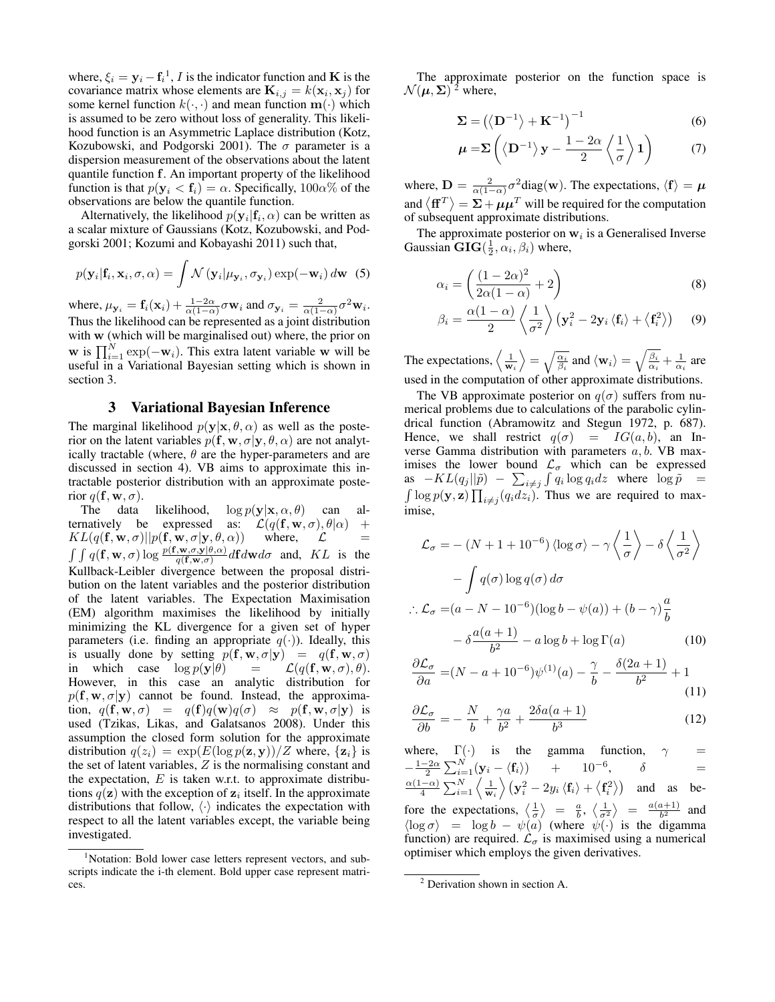where,  $\xi_i = y_i - f_i^1$ , *I* is the indicator function and **K** is the covariance matrix whose elements are  $\mathbf{K}_{i,j} = k(\mathbf{x}_i, \mathbf{x}_j)$  for some kernel function  $k(\cdot, \cdot)$  and mean function  $\mathbf{m}(\cdot)$  which is assumed to be zero without loss of generality. This likelihood function is an Asymmetric Laplace distribution (Kotz, Kozubowski, and Podgorski 2001). The  $\sigma$  parameter is a dispersion measurement of the observations about the latent quantile function f. An important property of the likelihood function is that  $p(\mathbf{y}_i < \mathbf{f}_i) = \alpha$ . Specifically,  $100\alpha\%$  of the observations are below the quantile function.

Alternatively, the likelihood  $p(\mathbf{y}_i|\mathbf{f}_i, \alpha)$  can be written as a scalar mixture of Gaussians (Kotz, Kozubowski, and Podgorski 2001; Kozumi and Kobayashi 2011) such that,

$$
p(\mathbf{y}_i|\mathbf{f}_i, \mathbf{x}_i, \sigma, \alpha) = \int \mathcal{N}(\mathbf{y}_i|\mu_{\mathbf{y}_i}, \sigma_{\mathbf{y}_i}) \exp(-\mathbf{w}_i) d\mathbf{w}
$$
 (5)

where,  $\mu_{\mathbf{y}_i} = \mathbf{f}_i(\mathbf{x}_i) + \frac{1-2\alpha}{\alpha(1-\alpha)}\sigma \mathbf{w}_i$  and  $\sigma_{\mathbf{y}_i} = \frac{2}{\alpha(1-\alpha)}\sigma^2 \mathbf{w}_i$ . Thus the likelihood can be represented as a joint distribution with w (which will be marginalised out) where, the prior on w is  $\prod_{i=1}^{N} \exp(-\mathbf{w}_i)$ . This extra latent variable w will be useful in a Variational Bayesian setting which is shown in section 3.

### 3 Variational Bayesian Inference

The marginal likelihood  $p(\mathbf{y}|\mathbf{x}, \theta, \alpha)$  as well as the posterior on the latent variables  $p(f, \mathbf{w}, \sigma | \mathbf{y}, \theta, \alpha)$  are not analytically tractable (where,  $\theta$  are the hyper-parameters and are discussed in section 4). VB aims to approximate this intractable posterior distribution with an approximate posterior  $q(\mathbf{f}, \mathbf{w}, \sigma)$ .

The data likelihood,  $\log p(\mathbf{y}|\mathbf{x}, \alpha, \theta)$  can alternatively be expressed as:  $\mathcal{L}(q(\mathbf{f}, \mathbf{w}, \sigma), \theta | \alpha)$  +  $KL(q(\mathbf{f}, \mathbf{w}, \sigma)||p(\mathbf{f}, \mathbf{w}, \sigma|\mathbf{y}, \theta, \alpha))$  where,  $\mathcal{L}$  =  $\int \int q(\mathbf{f}, \mathbf{w}, \sigma) \log \frac{p(\mathbf{f}, \mathbf{w}, \sigma, \mathbf{y} | \theta, \alpha)}{q(\mathbf{f}, \mathbf{w}, \sigma)} d\mathbf{f} d\mathbf{w} d\sigma$  and, KL is the Kullback-Leibler divergence between the proposal distribution on the latent variables and the posterior distribution of the latent variables. The Expectation Maximisation (EM) algorithm maximises the likelihood by initially minimizing the KL divergence for a given set of hyper parameters (i.e. finding an appropriate  $q(\cdot)$ ). Ideally, this is usually done by setting  $p(\mathbf{f}, \mathbf{w}, \sigma | \mathbf{y}) = q(\mathbf{f}, \mathbf{w}, \sigma)$ <br>in which case  $\log p(\mathbf{y}|\theta) = \mathcal{L}(q(\mathbf{f}, \mathbf{w}, \sigma), \theta)$ . in which case  $\log p(\mathbf{y}|\theta)$  = However, in this case an analytic distribution for  $p(\mathbf{f}, \mathbf{w}, \sigma | \mathbf{y})$  cannot be found. Instead, the approximation,  $q(\mathbf{f}, \mathbf{w}, \sigma) = q(\mathbf{f})q(\mathbf{w})q(\sigma) \approx p(\mathbf{f}, \mathbf{w}, \sigma|\mathbf{y})$  is used (Tzikas, Likas, and Galatsanos 2008). Under this assumption the closed form solution for the approximate distribution  $q(z_i) = \exp(E(\log p(\mathbf{z}, \mathbf{y}))/Z$  where,  $\{\mathbf{z}_i\}$  is the set of latent variables,  $Z$  is the normalising constant and the expectation,  $E$  is taken w.r.t. to approximate distributions  $q(\mathbf{z})$  with the exception of  $z_i$  itself. In the approximate distributions that follow,  $\langle \cdot \rangle$  indicates the expectation with respect to all the latent variables except, the variable being investigated.

The approximate posterior on the function space is  $\mathcal{N}(\boldsymbol{\mu}, \boldsymbol{\Sigma})^{\mathfrak{I}}$  where,

$$
\Sigma = \left( \left\langle \mathbf{D}^{-1} \right\rangle + \mathbf{K}^{-1} \right)^{-1} \tag{6}
$$

$$
\mu = \sum \left( \left\langle \mathbf{D}^{-1} \right\rangle \mathbf{y} - \frac{1 - 2\alpha}{2} \left\langle \frac{1}{\sigma} \right\rangle \mathbf{1} \right) \tag{7}
$$

where,  $\mathbf{D} = \frac{2}{\alpha(1-\alpha)} \sigma^2 \text{diag}(\mathbf{w})$ . The expectations,  $\langle \mathbf{f} \rangle = \boldsymbol{\mu}$ and  $\langle f \mathbf{f}^T \rangle = \Sigma + \mu \mu^T$  will be required for the computation of subsequent approximate distributions.

The approximate posterior on  $w_i$  is a Generalised Inverse Gaussian  $\mathbf{GIG}(\frac{1}{2}, \alpha_i, \beta_i)$  where,

$$
\alpha_i = \left(\frac{(1 - 2\alpha)^2}{2\alpha(1 - \alpha)} + 2\right) \tag{8}
$$

$$
\beta_i = \frac{\alpha(1-\alpha)}{2} \left\langle \frac{1}{\sigma^2} \right\rangle (\mathbf{y}_i^2 - 2\mathbf{y}_i \left\langle \mathbf{f}_i \right\rangle + \left\langle \mathbf{f}_i^2 \right\rangle)
$$
 (9)

The expectations,  $\left\langle \frac{1}{\mathbf{w}_i} \right\rangle = \sqrt{\frac{\alpha_i}{\beta_i}}$  and  $\left\langle \mathbf{w}_i \right\rangle = \sqrt{\frac{\beta_i}{\alpha_i}} + \frac{1}{\alpha_i}$  are used in the computation of other approximate distributions.

The VB approximate posterior on  $q(\sigma)$  suffers from numerical problems due to calculations of the parabolic cylindrical function (Abramowitz and Stegun 1972, p. 687). Hence, we shall restrict  $q(\sigma) = IG(a, b)$ , an Inverse Gamma distribution with parameters  $a, b$ . VB maximises the lower bound  $\mathcal{L}_{\sigma}$  which can be expressed as  $-KL(q_j||\tilde{p}) - \sum_{i \neq j} \int q_i \log q_i dz$  where  $\log \tilde{p}$  =  $\int \log p(\mathbf{y}, \mathbf{z}) \prod_{i \neq j} (q_i dz_i)$ . Thus we are required to maximise,

$$
\mathcal{L}_{\sigma} = -\left(N + 1 + 10^{-6}\right) \langle \log \sigma \rangle - \gamma \left\langle \frac{1}{\sigma} \right\rangle - \delta \left\langle \frac{1}{\sigma^2} \right\rangle
$$

$$
-\int q(\sigma) \log q(\sigma) d\sigma
$$

$$
\therefore \mathcal{L}_{\sigma} = (a - N - 10^{-6}) (\log b - \psi(a)) + (b - \gamma) \frac{a}{b}
$$

$$
-\delta \frac{a(a+1)}{b^2} - a \log b + \log \Gamma(a) \tag{10}
$$

$$
\frac{\partial \mathcal{L}_{\sigma}}{\partial a} = (N - a + 10^{-6})\psi^{(1)}(a) - \frac{\gamma}{b} - \frac{\delta(2a+1)}{b^2} + 1
$$
\n(11)

$$
\frac{\partial \mathcal{L}_{\sigma}}{\partial b} = -\frac{N}{b} + \frac{\gamma a}{b^2} + \frac{2\delta a(a+1)}{b^3} \tag{12}
$$

where,  $\Gamma(\cdot)$  is the gamma function,  $-\frac{1-2\alpha}{2}\sum_{i=1}^{N}(\mathbf{y}_i - \langle \mathbf{f}_i \rangle)$  +  $10^{-6}$ ,  $\delta$  =  $\alpha(1-\alpha)$  $\frac{(-\alpha)}{4} \sum_{i=1}^{N} \left\langle \frac{1}{\mathbf{w}_i} \right\rangle (\mathbf{y}_i^2 - 2y_i \left\langle \mathbf{f}_i \right\rangle + \left\langle \mathbf{f}_i^2 \right\rangle)$  and as before the expectations,  $\left\langle \frac{1}{\sigma} \right\rangle = \frac{a}{b}, \left\langle \frac{1}{\sigma^2} \right\rangle = \frac{a(a+1)}{b^2}$  $\frac{1+1}{b^2}$  and  $\langle \log \sigma \rangle$  =  $\log b - \psi(a)$  (where  $\psi(\cdot)$  is the digamma function) are required.  $\mathcal{L}_{\sigma}$  is maximised using a numerical optimiser which employs the given derivatives.

<sup>&</sup>lt;sup>1</sup>Notation: Bold lower case letters represent vectors, and subscripts indicate the i-th element. Bold upper case represent matrices.

<sup>2</sup> Derivation shown in section A.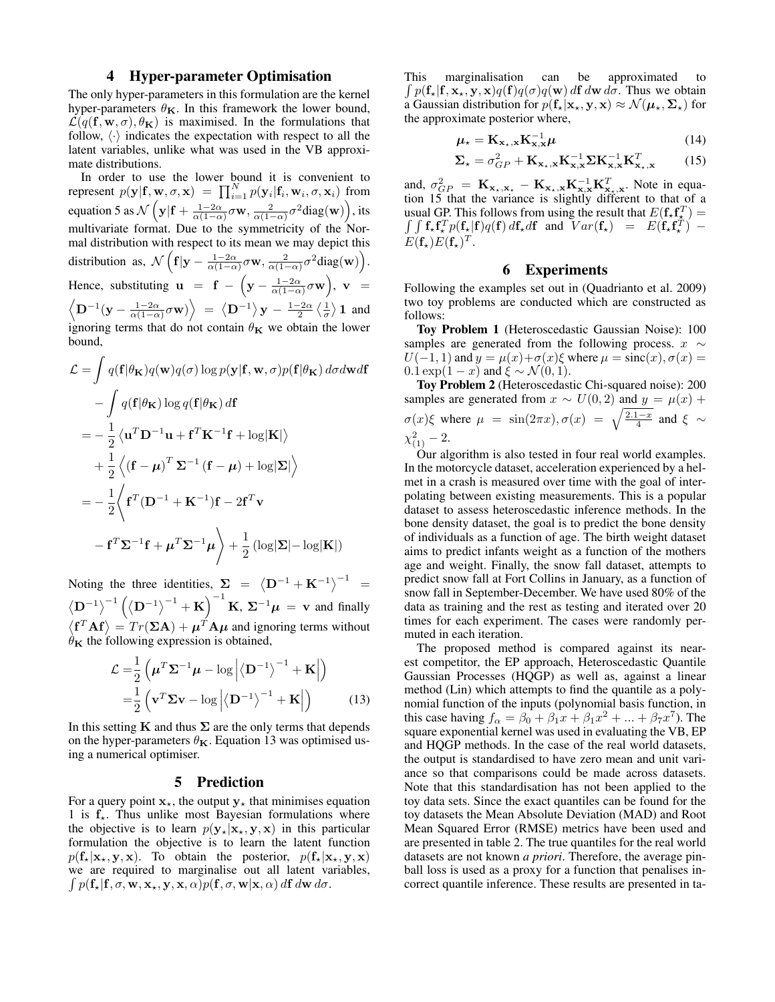### 4 Hyper-parameter Optimisation

The only hyper-parameters in this formulation are the kernel hyper-parameters  $\theta_{\mathbf{K}}$ . In this framework the lower bound,  $\mathcal{L}(q(\mathbf{f}, \mathbf{w}, \sigma), \theta_{\mathbf{K}})$  is maximised. In the formulations that follow,  $\langle \cdot \rangle$  indicates the expectation with respect to all the latent variables, unlike what was used in the VB approximate distributions.

In order to use the lower bound it is convenient to represent  $p(\mathbf{y}|\mathbf{f}, \mathbf{w}, \sigma, \mathbf{x}) = \prod_{i=1}^{N} p(\mathbf{y}_i|\mathbf{f}_i, \mathbf{w}_i, \sigma, \mathbf{x}_i)$  from equation 5 as  $\mathcal{N}\left(\mathbf{y}|\mathbf{f}+\frac{1-2\alpha}{\alpha(1-\alpha)}\sigma\mathbf{w},\frac{2}{\alpha(1-\alpha)}\sigma^2\mathrm{diag}(\mathbf{w})\right)$ , its multivariate format. Due to the symmetricity of the Normal distribution with respect to its mean we may depict this distribution as,  $\mathcal{N}\left(\mathbf{f}|\mathbf{y}-\frac{1-2\alpha}{\alpha(1-\alpha)}\sigma\mathbf{w},\frac{2}{\alpha(1-\alpha)}\sigma^2\text{diag}(\mathbf{w})\right)$ . Hence, substituting  $\mathbf{u} = \mathbf{f} - (\mathbf{y} - \frac{1-2\alpha}{\alpha(1-\alpha)}\sigma\mathbf{w}), \mathbf{v} =$  $\left\langle \mathbf{D}^{-1}(\mathbf{y}-\frac{1-2\alpha}{\alpha(1-\alpha)}\sigma\mathbf{w})\right\rangle \;=\; \left\langle \mathbf{D}^{-1}\right\rangle \mathbf{y} \,-\, \frac{1-2\alpha}{2}\left\langle \frac{1}{\sigma}\right\rangle \mathbf{1} \; \, \text{and}$ ignoring terms that do not contain  $\theta_K$  we obtain the lower bound,

$$
\mathcal{L} = \int q(\mathbf{f}|\theta_{\mathbf{K}})q(\mathbf{w})q(\sigma) \log p(\mathbf{y}|\mathbf{f}, \mathbf{w}, \sigma)p(\mathbf{f}|\theta_{\mathbf{K}}) d\sigma d\mathbf{w} d\mathbf{f}
$$
  
\n
$$
- \int q(\mathbf{f}|\theta_{\mathbf{K}}) \log q(\mathbf{f}|\theta_{\mathbf{K}}) d\mathbf{f}
$$
  
\n
$$
= -\frac{1}{2} \langle \mathbf{u}^T \mathbf{D}^{-1} \mathbf{u} + \mathbf{f}^T \mathbf{K}^{-1} \mathbf{f} + \log|\mathbf{K}|\rangle
$$
  
\n
$$
+ \frac{1}{2} \langle (\mathbf{f} - \boldsymbol{\mu})^T \Sigma^{-1} (\mathbf{f} - \boldsymbol{\mu}) + \log|\Sigma|\rangle
$$
  
\n
$$
= -\frac{1}{2} \langle \mathbf{f}^T (\mathbf{D}^{-1} + \mathbf{K}^{-1}) \mathbf{f} - 2\mathbf{f}^T \mathbf{v}
$$
  
\n
$$
- \mathbf{f}^T \Sigma^{-1} \mathbf{f} + \boldsymbol{\mu}^T \Sigma^{-1} \boldsymbol{\mu} \rangle + \frac{1}{2} (\log|\Sigma| - \log|\mathbf{K}|)
$$

Noting the three identities,  $\Sigma = \langle D^{-1} + K^{-1} \rangle^{-1} =$  $\langle D^{-1} \rangle^{-1} (\langle D^{-1} \rangle^{-1} + \mathbf{K})^{-1} \mathbf{K}, \Sigma^{-1} \mu = \mathbf{v}$  and finally  $\langle f^T A f \rangle = Tr(\Sigma A) + \mu^T A \mu$  and ignoring terms without  $\theta_{\mathbf{K}}$  the following expression is obtained,

$$
\mathcal{L} = \frac{1}{2} \left( \boldsymbol{\mu}^T \boldsymbol{\Sigma}^{-1} \boldsymbol{\mu} - \log \left| \left\langle \mathbf{D}^{-1} \right\rangle^{-1} + \mathbf{K} \right| \right) \n= \frac{1}{2} \left( \mathbf{v}^T \boldsymbol{\Sigma} \mathbf{v} - \log \left| \left\langle \mathbf{D}^{-1} \right\rangle^{-1} + \mathbf{K} \right| \right)
$$
\n(13)

In this setting K and thus  $\Sigma$  are the only terms that depends on the hyper-parameters  $\theta_{\mathbf{K}}$ . Equation 13 was optimised using a numerical optimiser.

#### 5 Prediction

For a query point  $x_{\star}$ , the output  $y_{\star}$  that minimises equation 1 is  $f_{\star}$ . Thus unlike most Bayesian formulations where the objective is to learn  $p(\mathbf{y}_\star|\mathbf{x}_\star, \mathbf{y}, \mathbf{x})$  in this particular formulation the objective is to learn the latent function  $p(\mathbf{f}_\star|\mathbf{x}_\star, \mathbf{y}, \mathbf{x})$ . To obtain the posterior,  $p(\mathbf{f}_\star|\mathbf{x}_\star, \mathbf{y}, \mathbf{x})$ we are required to marginalise out all latent variables,  $\int p(\mathbf{f}_\star| \mathbf{f}, \sigma, \mathbf{w}, \mathbf{x}_\star, \mathbf{y}, \mathbf{x}, \alpha) p(\mathbf{f}, \sigma, \mathbf{w}|\mathbf{x}, \alpha) d\mathbf{f} d\mathbf{w} d\sigma.$ 

This marginalisation can be approximated to  $\int p(\mathbf{f}_\star | \mathbf{f}, \mathbf{x}_\star, \mathbf{y}, \mathbf{x}) q(\mathbf{f}) q(\sigma) q(\mathbf{w}) d\mathbf{f} d\mathbf{w} d\sigma$ . Thus we obtain a Gaussian distribution for  $p(\mathbf{f}_\star|\mathbf{x}_\star, \mathbf{y}, \mathbf{x}) \approx \mathcal{N}(\boldsymbol{\mu}_\star, \boldsymbol{\Sigma}_\star)$  for the approximate posterior where,

$$
\mu_{\star} = \mathbf{K}_{\mathbf{x}_{\star},\mathbf{x}} \mathbf{K}_{\mathbf{x},\mathbf{x}}^{-1} \boldsymbol{\mu}
$$
 (14)

$$
\Sigma_{\star} = \sigma_{GP}^2 + \mathbf{K}_{\mathbf{x}_{\star},\mathbf{x}} \mathbf{K}_{\mathbf{x},\mathbf{x}}^{-1} \Sigma \mathbf{K}_{\mathbf{x},\mathbf{x}}^{-1} \mathbf{K}_{\mathbf{x}_{\star},\mathbf{x}}^T
$$
 (15)

and,  $\sigma_{GP}^2 = \mathbf{K}_{\mathbf{x}_\star,\mathbf{x}_\star} - \mathbf{K}_{\mathbf{x}_\star,\mathbf{x}} \mathbf{K}_{\mathbf{x},\mathbf{x}}^{-1} \mathbf{K}_{\mathbf{x}_\star,\mathbf{x}}^T$ . Note in equation 15 that the variance is slightly different to that of a usual GP. This follows from using the result that  $E(f_* f_*^T) =$ <br> $\int \int f_* f_*^T p(f_*|f) q(f) df_* df$  and  $Var(f_*) = E(f_* f_*^T)$  $\mathbf{f}_\star \mathbf{f}_\star^T p(\mathbf{f}_\star | \mathbf{f}) q(\mathbf{f}) d\mathbf{f}_\star d\mathbf{f}$  and  $Var(\mathbf{f}_\star) = E(\mathbf{f}_\star \mathbf{f}_\star^T)$  - $E(\mathbf{f}_\star)E(\mathbf{f}_\star)^T$ .

### 6 Experiments

Following the examples set out in (Quadrianto et al. 2009) two toy problems are conducted which are constructed as follows:

Toy Problem 1 (Heteroscedastic Gaussian Noise): 100 samples are generated from the following process.  $x \sim$  $U(-1, 1)$  and  $y = \mu(x)+\sigma(x)\xi$  where  $\mu = \text{sinc}(x), \sigma(x) =$  $0.1 \exp(1-x)$  and  $\xi \sim \mathcal{N}(0, 1)$ .

Toy Problem 2 (Heteroscedastic Chi-squared noise): 200 samples are generated from  $x \sim U(0, 2)$  and  $y = \mu(x) + \mu(y)$  $\sigma(x)\xi$  where  $\mu = \sin(2\pi x), \sigma(x) = \sqrt{\frac{2.1-x}{4}}$  and  $\xi \sim$  $\chi_{(1)}^2-2.$ 

Our algorithm is also tested in four real world examples. In the motorcycle dataset, acceleration experienced by a helmet in a crash is measured over time with the goal of interpolating between existing measurements. This is a popular dataset to assess heteroscedastic inference methods. In the bone density dataset, the goal is to predict the bone density of individuals as a function of age. The birth weight dataset aims to predict infants weight as a function of the mothers age and weight. Finally, the snow fall dataset, attempts to predict snow fall at Fort Collins in January, as a function of snow fall in September-December. We have used 80% of the data as training and the rest as testing and iterated over 20 times for each experiment. The cases were randomly permuted in each iteration.

The proposed method is compared against its nearest competitor, the EP approach, Heteroscedastic Quantile Gaussian Processes (HQGP) as well as, against a linear method (Lin) which attempts to find the quantile as a polynomial function of the inputs (polynomial basis function, in this case having  $f_{\alpha} = \beta_0 + \beta_1 x + \beta_1 x^2 + \dots + \beta_7 x^7$ ). The square exponential kernel was used in evaluating the VB, EP and HQGP methods. In the case of the real world datasets, the output is standardised to have zero mean and unit variance so that comparisons could be made across datasets. Note that this standardisation has not been applied to the toy data sets. Since the exact quantiles can be found for the toy datasets the Mean Absolute Deviation (MAD) and Root Mean Squared Error (RMSE) metrics have been used and are presented in table 2. The true quantiles for the real world datasets are not known *a priori*. Therefore, the average pinball loss is used as a proxy for a function that penalises incorrect quantile inference. These results are presented in ta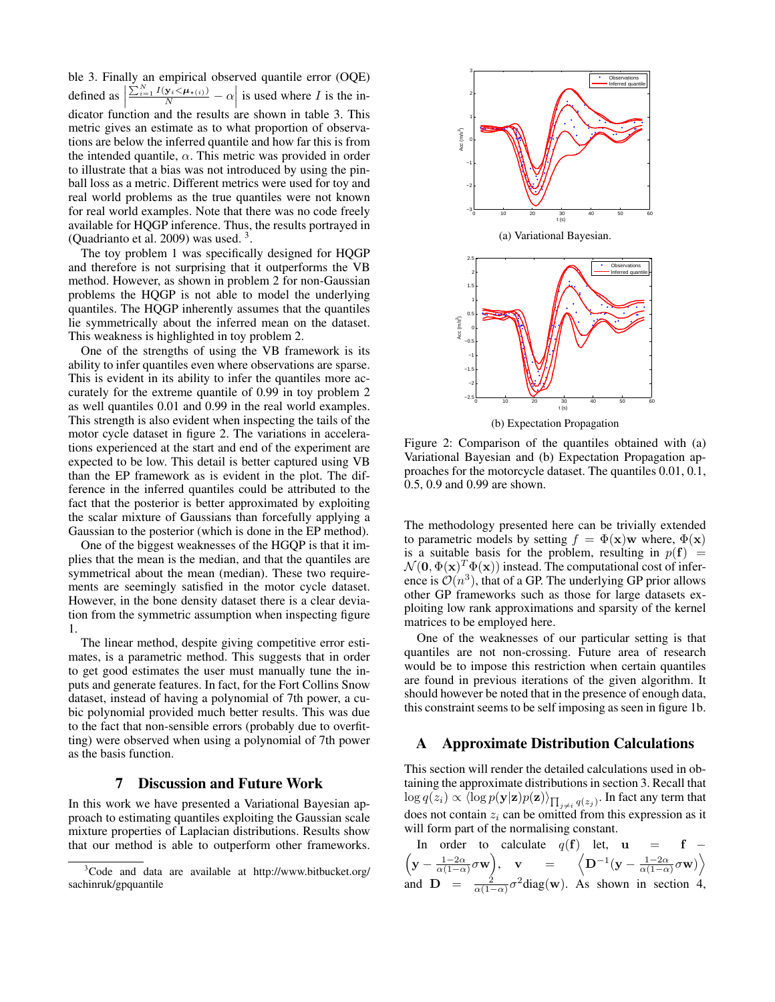ble 3. Finally an empirical observed quantile error (OQE) defined as  $\left|\frac{\sum_{i=1}^{N} I(\mathbf{y}_i < \boldsymbol{\mu}_{\star(i)})}{N} - \alpha\right|$  is used where *I* is the indicator function and the results are shown in table 3. This metric gives an estimate as to what proportion of observations are below the inferred quantile and how far this is from the intended quantile,  $\alpha$ . This metric was provided in order to illustrate that a bias was not introduced by using the pinball loss as a metric. Different metrics were used for toy and real world problems as the true quantiles were not known for real world examples. Note that there was no code freely available for HQGP inference. Thus, the results portrayed in (Quadrianto et al. 2009) was used.  $3$ .

The toy problem 1 was specifically designed for HQGP and therefore is not surprising that it outperforms the VB method. However, as shown in problem 2 for non-Gaussian problems the HQGP is not able to model the underlying quantiles. The HQGP inherently assumes that the quantiles lie symmetrically about the inferred mean on the dataset. This weakness is highlighted in toy problem 2.

One of the strengths of using the VB framework is its ability to infer quantiles even where observations are sparse. This is evident in its ability to infer the quantiles more accurately for the extreme quantile of 0.99 in toy problem 2 as well quantiles 0.01 and 0.99 in the real world examples. This strength is also evident when inspecting the tails of the motor cycle dataset in figure 2. The variations in accelerations experienced at the start and end of the experiment are expected to be low. This detail is better captured using VB than the EP framework as is evident in the plot. The difference in the inferred quantiles could be attributed to the fact that the posterior is better approximated by exploiting the scalar mixture of Gaussians than forcefully applying a Gaussian to the posterior (which is done in the EP method).

One of the biggest weaknesses of the HGQP is that it implies that the mean is the median, and that the quantiles are symmetrical about the mean (median). These two requirements are seemingly satisfied in the motor cycle dataset. However, in the bone density dataset there is a clear deviation from the symmetric assumption when inspecting figure 1.

The linear method, despite giving competitive error estimates, is a parametric method. This suggests that in order to get good estimates the user must manually tune the inputs and generate features. In fact, for the Fort Collins Snow dataset, instead of having a polynomial of 7th power, a cubic polynomial provided much better results. This was due to the fact that non-sensible errors (probably due to overfitting) were observed when using a polynomial of 7th power as the basis function.

#### 7 Discussion and Future Work

In this work we have presented a Variational Bayesian approach to estimating quantiles exploiting the Gaussian scale mixture properties of Laplacian distributions. Results show that our method is able to outperform other frameworks.

Figure 2: Comparison of the quantiles obtained with (a) Variational Bayesian and (b) Expectation Propagation approaches for the motorcycle dataset. The quantiles 0.01, 0.1, 0.5, 0.9 and 0.99 are shown.

The methodology presented here can be trivially extended to parametric models by setting  $f = \Phi(\mathbf{x})\mathbf{w}$  where,  $\Phi(\mathbf{x})$ is a suitable basis for the problem, resulting in  $p(f)$  =  $\mathcal{N}(\mathbf{0}, \Phi(\mathbf{x})^T \Phi(\mathbf{x}))$  instead. The computational cost of inference is  $\mathcal{O}(n^3)$ , that of a GP. The underlying GP prior allows other GP frameworks such as those for large datasets exploiting low rank approximations and sparsity of the kernel matrices to be employed here.

One of the weaknesses of our particular setting is that quantiles are not non-crossing. Future area of research would be to impose this restriction when certain quantiles are found in previous iterations of the given algorithm. It should however be noted that in the presence of enough data, this constraint seems to be self imposing as seen in figure 1b.

### A Approximate Distribution Calculations

This section will render the detailed calculations used in obtaining the approximate distributions in section 3. Recall that  $\log q(z_i) \propto \left< \log p(\mathbf{y}|\mathbf{z})p(\mathbf{z}) \right>_{\prod_{j\neq i} q(z_j)}.$  In fact any term that does not contain  $z_i$  can be omitted from this expression as it will form part of the normalising constant.

In order to calculate 
$$
q(\mathbf{f})
$$
 let,  $\mathbf{u} = \mathbf{f} - (\mathbf{y} - \frac{1-2\alpha}{\alpha(1-\alpha)}\sigma\mathbf{w}), \mathbf{v} = \left\langle \mathbf{D}^{-1}(\mathbf{y} - \frac{1-2\alpha}{\alpha(1-\alpha)}\sigma\mathbf{w}) \right\rangle$   
and  $\mathbf{D} = \frac{2}{\alpha(1-\alpha)}\sigma^2 \text{diag}(\mathbf{w})$ . As shown in section 4,

<sup>&</sup>lt;sup>3</sup>Code and data are available at http://www.bitbucket.org/ sachinruk/gpquantile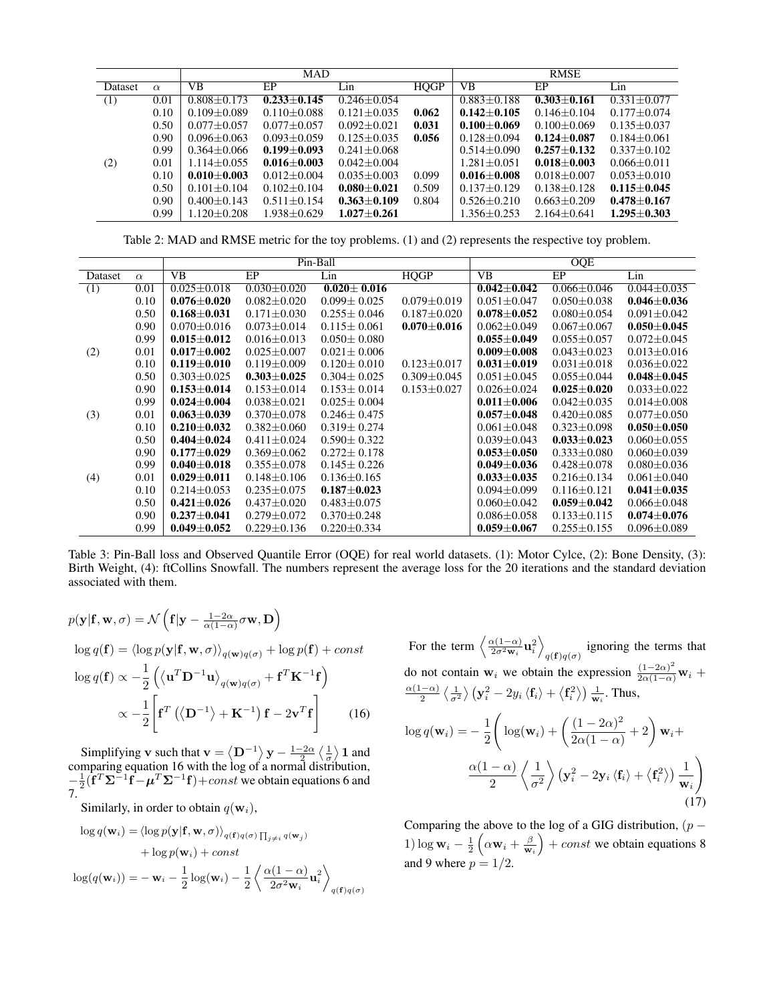|         |          | <b>MAD</b>        |                 |                 |             | <b>RMSE</b>       |                   |                   |
|---------|----------|-------------------|-----------------|-----------------|-------------|-------------------|-------------------|-------------------|
| Dataset | $\alpha$ | VB                | EP              | Lin             | <b>HOGP</b> | VB                | EP                | Lin               |
| (1)     | 0.01     | $0.808 + 0.173$   | $0.233 + 0.145$ | $0.246 + 0.054$ |             | $0.883 + 0.188$   | $0.303 + 0.161$   | $0.331 + 0.077$   |
|         | 0.10     | $0.109 + 0.089$   | $0.110 + 0.088$ | $0.121 + 0.035$ | 0.062       | $0.142 + 0.105$   | $0.146 + 0.104$   | $0.177 + 0.074$   |
|         | 0.50     | $0.077 + 0.057$   | $0.077 + 0.057$ | $0.092 + 0.021$ | 0.031       | $0.100 + 0.069$   | $0.100 + 0.069$   | $0.135 + 0.037$   |
|         | 0.90     | $0.096 + 0.063$   | $0.093 + 0.059$ | $0.125 + 0.035$ | 0.056       | $0.128 + 0.094$   | $0.124 + 0.087$   | $0.184 + 0.061$   |
|         | 0.99     | $0.364 + 0.066$   | $0.199 + 0.093$ | $0.241 + 0.068$ |             | $0.514 \pm 0.090$ | $0.257 + 0.132$   | $0.337 + 0.102$   |
| (2)     | 0.01     | $1.114 + 0.055$   | $0.016 + 0.003$ | $0.042 + 0.004$ |             | $1.281 + 0.051$   | $0.018 + 0.003$   | $0.066 + 0.011$   |
|         | 0.10     | $0.010 + 0.003$   | $0.012 + 0.004$ | $0.035 + 0.003$ | 0.099       | $0.016 + 0.008$   | $0.018 + 0.007$   | $0.053 + 0.010$   |
|         | 0.50     | $0.101 + 0.104$   | $0.102 + 0.104$ | $0.080 + 0.021$ | 0.509       | $0.137 \pm 0.129$ | $0.138 \pm 0.128$ | $0.115 + 0.045$   |
|         | 0.90     | $0.400 \pm 0.143$ | $0.511 + 0.154$ | $0.363 + 0.109$ | 0.804       | $0.526 + 0.210$   | $0.663 \pm 0.209$ | $0.478 \pm 0.167$ |
|         | 0.99     | $1.120 + 0.208$   | $1.938 + 0.629$ | $1.027 + 0.261$ |             | 1.356±0.253       | $2.164 + 0.641$   | $1.295 + 0.303$   |

Table 2: MAD and RMSE metric for the toy problems. (1) and (2) represents the respective toy problem.

|                  |          | Pin-Ball          |                   |                   |                   | <b>OQE</b>        |                   |                   |
|------------------|----------|-------------------|-------------------|-------------------|-------------------|-------------------|-------------------|-------------------|
| Dataset          | $\alpha$ | <b>VB</b>         | EP                | Lin               | <b>HOGP</b>       | VB                | EP                | Lin               |
| $\overline{(1)}$ | 0.01     | $0.025 \pm 0.018$ | $0.030 \pm 0.020$ | $0.020 \pm 0.016$ |                   | $0.042 \pm 0.042$ | $0.066 \pm 0.046$ | $0.044 \pm 0.035$ |
|                  | 0.10     | $0.076 + 0.020$   | $0.082 + 0.020$   | $0.099 \pm 0.025$ | $0.079 \pm 0.019$ | $0.051 + 0.047$   | $0.050 \pm 0.038$ | $0.046 + 0.036$   |
|                  | 0.50     | $0.168 \pm 0.031$ | $0.171 \pm 0.030$ | $0.255 \pm 0.046$ | $0.187 \pm 0.020$ | $0.078 \pm 0.052$ | $0.080 \pm 0.054$ | $0.091 \pm 0.042$ |
|                  | 0.90     | $0.070 \pm 0.016$ | $0.073 \pm 0.014$ | $0.115 \pm 0.061$ | $0.070 \pm 0.016$ | $0.062 + 0.049$   | $0.067 \pm 0.067$ | $0.050 \pm 0.045$ |
|                  | 0.99     | $0.015 + 0.012$   | $0.016 + 0.013$   | $0.050 \pm 0.080$ |                   | $0.055 + 0.049$   | $0.055 \pm 0.057$ | $0.072 + 0.045$   |
| (2)              | 0.01     | $0.017 + 0.002$   | $0.025 \pm 0.007$ | $0.021 \pm 0.006$ |                   | $0.009 \pm 0.008$ | $0.043 \pm 0.023$ | $0.013 \pm 0.016$ |
|                  | 0.10     | $0.119 + 0.010$   | $0.119 + 0.009$   | $0.120 + 0.010$   | $0.123 + 0.017$   | $0.031 + 0.019$   | $0.031 \pm 0.018$ | $0.036 \pm 0.022$ |
|                  | 0.50     | $0.303 \pm 0.025$ | $0.303 \pm 0.025$ | $0.304 \pm 0.025$ | $0.309 \pm 0.045$ | $0.051 \pm 0.045$ | $0.055 \pm 0.044$ | $0.048 \pm 0.045$ |
|                  | 0.90     | $0.153 \pm 0.014$ | $0.153 \pm 0.014$ | $0.153 \pm 0.014$ | $0.153 \pm 0.027$ | $0.026 \pm 0.024$ | $0.025 \pm 0.020$ | $0.033 \pm 0.022$ |
|                  | 0.99     | $0.024 \pm 0.004$ | $0.038 \pm 0.021$ | $0.025 \pm 0.004$ |                   | $0.011 \pm 0.006$ | $0.042 \pm 0.035$ | $0.014 \pm 0.008$ |
| (3)              | 0.01     | $0.063 \pm 0.039$ | $0.370 + 0.078$   | $0.246 \pm 0.475$ |                   | $0.057 + 0.048$   | $0.420 \pm 0.085$ | $0.077 \pm 0.050$ |
|                  | 0.10     | $0.210 + 0.032$   | $0.382 + 0.060$   | $0.319 + 0.274$   |                   | $0.061 + 0.048$   | $0.323 + 0.098$   | $0.050 + 0.050$   |
|                  | 0.50     | $0.404 \pm 0.024$ | $0.411 \pm 0.024$ | $0.590 \pm 0.322$ |                   | $0.039 \pm 0.043$ | $0.033 \pm 0.023$ | $0.060 \pm 0.055$ |
|                  | 0.90     | $0.177 + 0.029$   | $0.369 + 0.062$   | $0.272 \pm 0.178$ |                   | $0.053 + 0.050$   | $0.333 + 0.080$   | $0.060 + 0.039$   |
|                  | 0.99     | $0.040 \pm 0.018$ | $0.355 + 0.078$   | $0.145 \pm 0.226$ |                   | $0.049 + 0.036$   | $0.428 \pm 0.078$ | $0.080 \pm 0.036$ |
| (4)              | 0.01     | $0.029 \pm 0.011$ | $0.148 \pm 0.106$ | $0.136 \pm 0.165$ |                   | $0.033 \pm 0.035$ | $0.216 \pm 0.134$ | $0.061 \pm 0.040$ |
|                  | 0.10     | $0.214 \pm 0.053$ | $0.235 \pm 0.075$ | $0.187 \pm 0.023$ |                   | $0.094 + 0.099$   | $0.116 \pm 0.121$ | $0.041 \pm 0.035$ |
|                  | 0.50     | $0.421 + 0.026$   | $0.437 + 0.020$   | $0.483 \pm 0.075$ |                   | $0.060 + 0.042$   | $0.059 + 0.042$   | $0.066 \pm 0.048$ |
|                  | 0.90     | $0.237 + 0.041$   | $0.279 \pm 0.072$ | $0.370 \pm 0.248$ |                   | $0.086 \pm 0.058$ | $0.133 \pm 0.115$ | $0.074 \pm 0.076$ |
|                  | 0.99     | $0.049 \pm 0.052$ | $0.229 \pm 0.136$ | $0.220 \pm 0.334$ |                   | $0.059 \pm 0.067$ | $0.255 \pm 0.155$ | $0.096 \pm 0.089$ |

Table 3: Pin-Ball loss and Observed Quantile Error (OQE) for real world datasets. (1): Motor Cylce, (2): Bone Density, (3): Birth Weight, (4): ftCollins Snowfall. The numbers represent the average loss for the 20 iterations and the standard deviation associated with them.

$$
p(\mathbf{y}|\mathbf{f}, \mathbf{w}, \sigma) = \mathcal{N}\left(\mathbf{f}|\mathbf{y} - \frac{1 - 2\alpha}{\alpha(1 - \alpha)}\sigma\mathbf{w}, \mathbf{D}\right)
$$
  
\n
$$
\log q(\mathbf{f}) = \langle \log p(\mathbf{y}|\mathbf{f}, \mathbf{w}, \sigma) \rangle_{q(\mathbf{w})q(\sigma)} + \log p(\mathbf{f}) + const
$$
  
\n
$$
\log q(\mathbf{f}) \propto -\frac{1}{2} \left( \langle \mathbf{u}^T \mathbf{D}^{-1} \mathbf{u} \rangle_{q(\mathbf{w})q(\sigma)} + \mathbf{f}^T \mathbf{K}^{-1} \mathbf{f} \right)
$$
  
\n
$$
\propto -\frac{1}{2} \left[ \mathbf{f}^T \left( \langle \mathbf{D}^{-1} \rangle + \mathbf{K}^{-1} \right) \mathbf{f} - 2\mathbf{v}^T \mathbf{f} \right]
$$
(16)

Simplifying **v** such that **v** =  $\left\langle \mathbf{D}^{-1} \right\rangle \mathbf{y} - \frac{1-2\alpha}{2} \left\langle \frac{1}{\sigma} \right\rangle \mathbf{1}$  and comparing equation 16 with the log of a normal distribution,  $-\frac{1}{2}(\hat{\mathbf{f}}^T\boldsymbol{\Sigma}^{-1}\hat{\mathbf{f}} - \boldsymbol{\mu}^T\boldsymbol{\Sigma}^{-1}\mathbf{f}) + const$  we obtain equations 6 and 7.

Similarly, in order to obtain  $q(\mathbf{w}_i)$ ,

$$
\log q(\mathbf{w}_i) = \langle \log p(\mathbf{y}|\mathbf{f}, \mathbf{w}, \sigma) \rangle_{q(\mathbf{f})q(\sigma) \prod_{j \neq i} q(\mathbf{w}_j)} + \log p(\mathbf{w}_i) + const \n\log(q(\mathbf{w}_i)) = -\mathbf{w}_i - \frac{1}{2} \log(\mathbf{w}_i) - \frac{1}{2} \left\langle \frac{\alpha(1-\alpha)}{2\sigma^2 \mathbf{w}_i} \mathbf{u}_i^2 \right\rangle_{q(\mathbf{f})q(\sigma)}
$$

For the term  $\left\langle \frac{\alpha(1-\alpha)}{2\sigma^2 \mathbf{w}_i} \mathbf{u}_i^2 \right\rangle$ ignoring the terms that  $q(\mathbf{f})q(\sigma)$ do not contain  $\mathbf{w}_i$  we obtain the expression  $\frac{(1-2\alpha)^2}{2\alpha(1-\alpha)}\mathbf{w}_i +$ <br> $\alpha(1-\alpha)/1$  \  $(\mathbf{x}^2-\mathbf{Q}(\mathbf{x}+\mathbf{Q}(\mathbf{x})))$  Thus  $\frac{1-\alpha)}{2}\left\langle \frac{1}{\sigma^2}\right\rangle \left(\mathbf{y}_i^2-2y_i\left\langle \mathbf{f}_i\right\rangle+\left\langle \mathbf{f}_i^2\right\rangle \right)\frac{1}{\mathbf{w}_i}.$  Thus,  $\log q(\mathbf{w}_i) = -\frac{1}{2}$ 2  $\int \log(\mathbf{w}_i) + \left(\frac{(1-2\alpha)^2}{2\alpha(1-\alpha)}\right)$  $\frac{(1-2\alpha)^2}{2\alpha(1-\alpha)}+2\bigg)\,\mathbf{w}_i+$  $\alpha(1-\alpha)$ 2  $/1$  $\sigma^2$  $\left\langle \right. \left( \mathbf{y}_{i}^{2}-2\mathbf{y}_{i}\left\langle \mathbf{f}_{i}\right\rangle +\left\langle \mathbf{f}_{i}^{2}\right\rangle \right) \frac{1}{\mathbf{w}_{i}}\text{,}$  $\mathbf{w}_i$  $\setminus$ (17)

Comparing the above to the log of a GIG distribution,  $(p -$ 1)  $\log \mathbf{w}_i - \frac{1}{2} \left( \alpha \mathbf{w}_i + \frac{\beta}{\mathbf{w}_i} \right) + const$  we obtain equations 8 and 9 where  $p = 1/2$ .